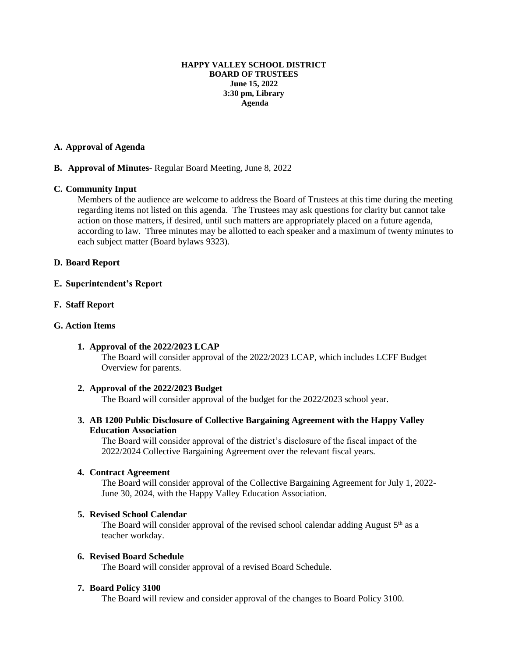#### **HAPPY VALLEY SCHOOL DISTRICT BOARD OF TRUSTEES June 15, 2022 3:30 pm, Library Agenda**

## **A. Approval of Agenda**

# **B. Approval of Minutes**- Regular Board Meeting, June 8, 2022

## **C. Community Input**

Members of the audience are welcome to address the Board of Trustees at this time during the meeting regarding items not listed on this agenda. The Trustees may ask questions for clarity but cannot take action on those matters, if desired, until such matters are appropriately placed on a future agenda, according to law. Three minutes may be allotted to each speaker and a maximum of twenty minutes to each subject matter (Board bylaws 9323).

# **D. Board Report**

## **E. Superintendent's Report**

## **F. Staff Report**

## **G. Action Items**

# **1. Approval of the 2022/2023 LCAP**

The Board will consider approval of the 2022/2023 LCAP, which includes LCFF Budget Overview for parents.

## **2. Approval of the 2022/2023 Budget**

The Board will consider approval of the budget for the 2022/2023 school year.

# **3. AB 1200 Public Disclosure of Collective Bargaining Agreement with the Happy Valley Education Association**

The Board will consider approval of the district's disclosure of the fiscal impact of the 2022/2024 Collective Bargaining Agreement over the relevant fiscal years.

# **4. Contract Agreement**

The Board will consider approval of the Collective Bargaining Agreement for July 1, 2022- June 30, 2024, with the Happy Valley Education Association.

#### **5. Revised School Calendar**

The Board will consider approval of the revised school calendar adding August  $5<sup>th</sup>$  as a teacher workday.

#### **6. Revised Board Schedule**

The Board will consider approval of a revised Board Schedule.

### **7. Board Policy 3100**

The Board will review and consider approval of the changes to Board Policy 3100.